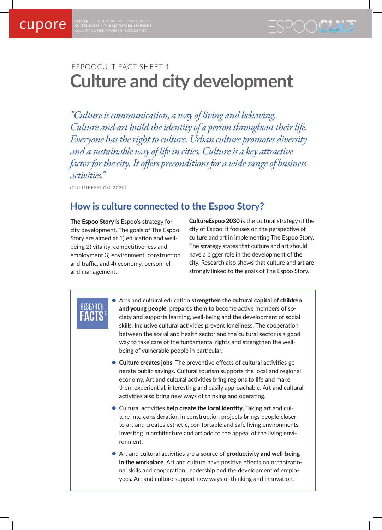CENTER FOR CULTURAL POLICY RESEARCH **KULTTUURIPOLITIIKAN TUTKIMUSKESKUS**

# ESPOOCULT FACT SHEET 1 **Culture and city development**

*"Culture is communication, a way of living and behaving. Culture and art build the identity of a person throughout their life. Everyone has the right to culture. Urban culture promotes diversity and a sustainable way of life in cities. Culture is a key attractive factor for the city. It offers preconditions for a wide range of business activities."* 

(CULTUREESPOO 2030)

**1**

RESEARCH **FACTS**

# **How is culture connected to the Espoo Story?**

The Espoo Story is Espoo's strategy for city development. The goals of The Espoo Story are aimed at 1) education and wellbeing 2) vitality, competitiveness and employment 3) environment, construction and traffic, and 4) economy, personnel and management.

CultureEspoo 2030 is the cultural strategy of the city of Espoo, it focuses on the perspective of culture and art in implementing The Espoo Story. The strategy states that culture and art should have a bigger role in the development of the city. Research also shows that culture and art are strongly linked to the goals of The Espoo Story.

- Arts and cultural education strengthen the cultural capital of children and young people, prepares them to become active members of society and supports learning, well-being and the development of social skills. Inclusive cultural activities prevent loneliness. The cooperation between the social and health sector and the cultural sector is a good way to take care of the fundamental rights and strengthen the wellbeing of vulnerable people in particular.
- **Culture creates jobs**. The preventive effects of cultural activities generate public savings. Cultural tourism supports the local and regional economy. Art and cultural activities bring regions to life and make them experiential, interesting and easily approachable. Art and cultural activities also bring new ways of thinking and operating.
- Cultural activities help create the local identity. Taking art and culture into consideration in construction projects brings people closer to art and creates esthetic, comfortable and safe living environments. Investing in architecture and art add to the appeal of the living environment.
- Art and cultural activities are a source of **productivity and well-being** in the workplace. Art and culture have positive effects on organizational skills and cooperation, leadership and the development of employees. Art and culture support new ways of thinking and innovation.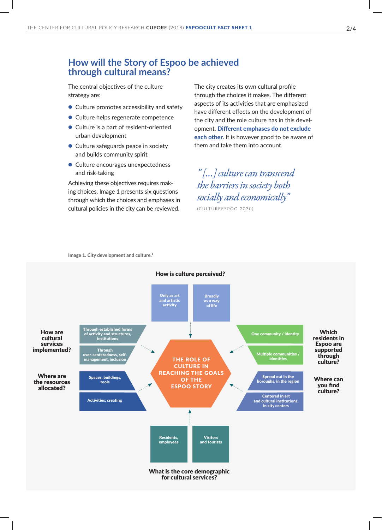### **How will the Story of Espoo be achieved through cultural means?**

The central objectives of the culture strategy are:

- Culture promotes accessibility and safety
- Culture helps regenerate competence
- Culture is a part of resident-oriented urban development
- Culture safeguards peace in society and builds community spirit
- Culture encourages unexpectedness and risk-taking

Achieving these objectives requires making choices. Image 1 presents six questions through which the choices and emphases in cultural policies in the city can be reviewed.

The city creates its own cultural profile through the choices it makes. The different aspects of its activities that are emphasized have different effects on the development of the city and the role culture has in this development. Different emphases do not exclude each other. It is however good to be aware of them and take them into account.

*" […] culture can transcend the barriers in society both socially and economically"* (CULTUREESPOO 2030)

Image 1. City development and culture.<sup>3</sup>

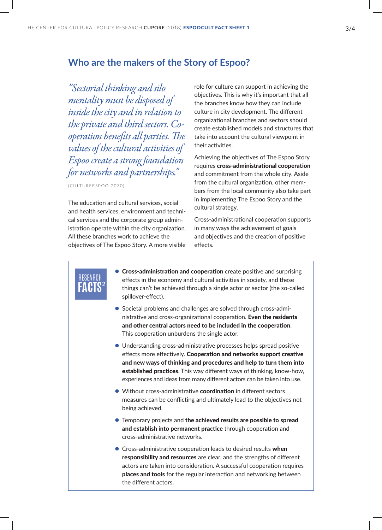### **Who are the makers of the Story of Espoo?**

*"Sectorial thinking and silo mentality must be disposed of inside the city and in relation to the private and third sectors. Cooperation benefits all parties. The values of the cultural activities of Espoo create a strong foundation for networks and partnerships."*

(CULTUREESPOO 2030)

**2**

RESEARCH **FACTS**

The education and cultural services, social and health services, environment and technical services and the corporate group administration operate within the city organization. All these branches work to achieve the objectives of The Espoo Story. A more visible

role for culture can support in achieving the objectives. This is why it's important that all the branches know how they can include culture in city development. The different organizational branches and sectors should create established models and structures that take into account the cultural viewpoint in their activities.

Achieving the objectives of The Espoo Story requires cross-administrational cooperation and commitment from the whole city. Aside from the cultural organization, other members from the local community also take part in implementing The Espoo Story and the cultural strategy.

Cross-administrational cooperation supports in many ways the achievement of goals and objectives and the creation of positive effects.

- **Cross-administration and cooperation** create positive and surprising effects in the economy and cultural activities in society, and these things can't be achieved through a single actor or sector (the so-called spillover-effect).
- Societal problems and challenges are solved through cross-administrative and cross-organizational cooperation. Even the residents and other central actors need to be included in the cooperation. This cooperation unburdens the single actor.
- Understanding cross-administrative processes helps spread positive effects more effectively. Cooperation and networks support creative and new ways of thinking and procedures and help to turn them into established practices. This way different ways of thinking, know-how, experiences and ideas from many different actors can be taken into use.
- Without cross-administrative coordination in different sectors measures can be conflicting and ultimately lead to the objectives not being achieved.
- **•** Temporary projects and the achieved results are possible to spread and establish into permanent practice through cooperation and cross-administrative networks.
- Cross-administrative cooperation leads to desired results when responsibility and resources are clear, and the strengths of different actors are taken into consideration. A successful cooperation requires places and tools for the regular interaction and networking between the different actors.